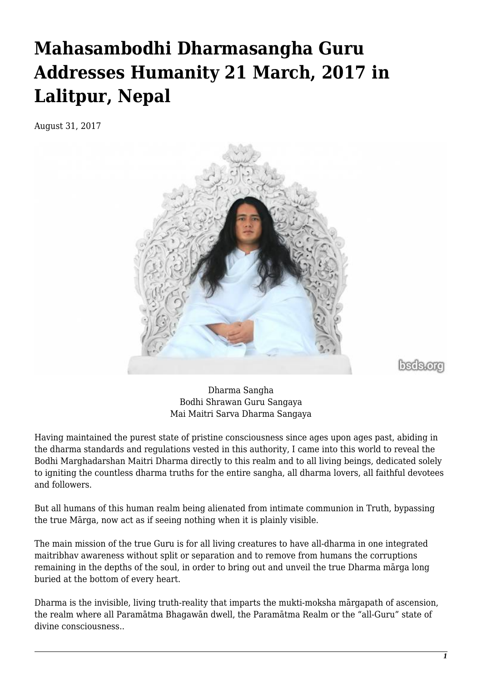# **Mahasambodhi Dharmasangha Guru Addresses Humanity 21 March, 2017 in Lalitpur, Nepal**

August 31, 2017



bsds.org

Dharma Sangha Bodhi Shrawan Guru Sangaya Mai Maitri Sarva Dharma Sangaya

Having maintained the purest state of pristine consciousness since ages upon ages past, abiding in the dharma standards and regulations vested in this authority, I came into this world to reveal the Bodhi Marghadarshan Maitri Dharma directly to this realm and to all living beings, dedicated solely to igniting the countless dharma truths for the entire sangha, all dharma lovers, all faithful devotees and followers.

But all humans of this human realm being alienated from intimate communion in Truth, bypassing the true Mārga, now act as if seeing nothing when it is plainly visible.

The main mission of the true Guru is for all living creatures to have all-dharma in one integrated maitribhav awareness without split or separation and to remove from humans the corruptions remaining in the depths of the soul, in order to bring out and unveil the true Dharma mārga long buried at the bottom of every heart.

Dharma is the invisible, living truth-reality that imparts the mukti-moksha mārgapath of ascension, the realm where all Paramātma Bhagawān dwell, the Paramātma Realm or the "all-Guru" state of divine consciousness..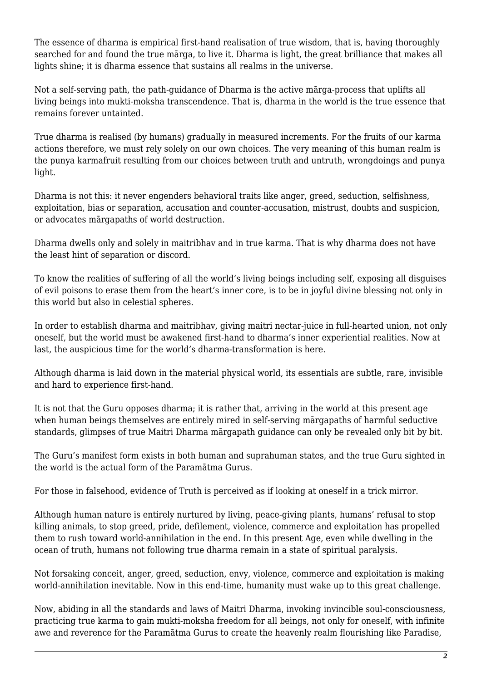The essence of dharma is empirical first-hand realisation of true wisdom, that is, having thoroughly searched for and found the true mārga, to live it. Dharma is light, the great brilliance that makes all lights shine; it is dharma essence that sustains all realms in the universe.

Not a self-serving path, the path-guidance of Dharma is the active mārga-process that uplifts all living beings into mukti-moksha transcendence. That is, dharma in the world is the true essence that remains forever untainted.

True dharma is realised (by humans) gradually in measured increments. For the fruits of our karma actions therefore, we must rely solely on our own choices. The very meaning of this human realm is the punya karmafruit resulting from our choices between truth and untruth, wrongdoings and punya light.

Dharma is not this: it never engenders behavioral traits like anger, greed, seduction, selfishness, exploitation, bias or separation, accusation and counter-accusation, mistrust, doubts and suspicion, or advocates mārgapaths of world destruction.

Dharma dwells only and solely in maitribhav and in true karma. That is why dharma does not have the least hint of separation or discord.

To know the realities of suffering of all the world's living beings including self, exposing all disguises of evil poisons to erase them from the heart's inner core, is to be in joyful divine blessing not only in this world but also in celestial spheres.

In order to establish dharma and maitribhav, giving maitri nectar-juice in full-hearted union, not only oneself, but the world must be awakened first-hand to dharma's inner experiential realities. Now at last, the auspicious time for the world's dharma-transformation is here.

Although dharma is laid down in the material physical world, its essentials are subtle, rare, invisible and hard to experience first-hand.

It is not that the Guru opposes dharma; it is rather that, arriving in the world at this present age when human beings themselves are entirely mired in self-serving mārgapaths of harmful seductive standards, glimpses of true Maitri Dharma mārgapath guidance can only be revealed only bit by bit.

The Guru's manifest form exists in both human and suprahuman states, and the true Guru sighted in the world is the actual form of the Paramātma Gurus.

For those in falsehood, evidence of Truth is perceived as if looking at oneself in a trick mirror.

Although human nature is entirely nurtured by living, peace-giving plants, humans' refusal to stop killing animals, to stop greed, pride, defilement, violence, commerce and exploitation has propelled them to rush toward world-annihilation in the end. In this present Age, even while dwelling in the ocean of truth, humans not following true dharma remain in a state of spiritual paralysis.

Not forsaking conceit, anger, greed, seduction, envy, violence, commerce and exploitation is making world-annihilation inevitable. Now in this end-time, humanity must wake up to this great challenge.

Now, abiding in all the standards and laws of Maitri Dharma, invoking invincible soul-consciousness, practicing true karma to gain mukti-moksha freedom for all beings, not only for oneself, with infinite awe and reverence for the Paramātma Gurus to create the heavenly realm flourishing like Paradise,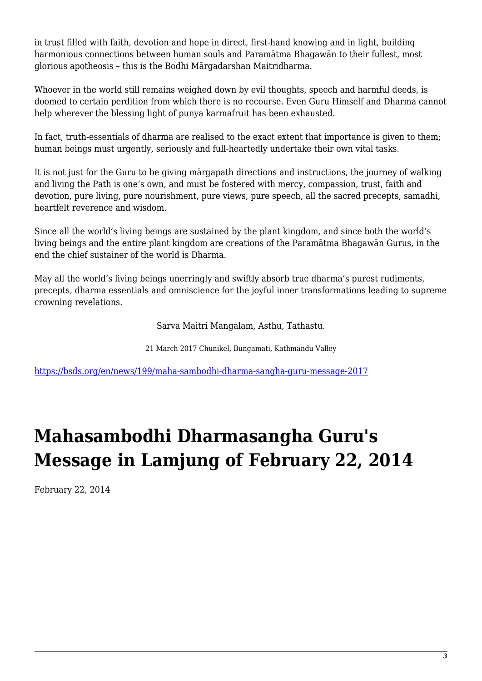in trust filled with faith, devotion and hope in direct, first-hand knowing and in light, building harmonious connections between human souls and Paramātma Bhagawān to their fullest, most glorious apotheosis – this is the Bodhi Mārgadarshan Maitridharma.

Whoever in the world still remains weighed down by evil thoughts, speech and harmful deeds, is doomed to certain perdition from which there is no recourse. Even Guru Himself and Dharma cannot help wherever the blessing light of punya karmafruit has been exhausted.

In fact, truth-essentials of dharma are realised to the exact extent that importance is given to them; human beings must urgently, seriously and full-heartedly undertake their own vital tasks.

It is not just for the Guru to be giving mārgapath directions and instructions, the journey of walking and living the Path is one's own, and must be fostered with mercy, compassion, trust, faith and devotion, pure living, pure nourishment, pure views, pure speech, all the sacred precepts, samadhi, heartfelt reverence and wisdom.

Since all the world's living beings are sustained by the plant kingdom, and since both the world's living beings and the entire plant kingdom are creations of the Paramātma Bhagawān Gurus, in the end the chief sustainer of the world is Dharma.

May all the world's living beings unerringly and swiftly absorb true dharma's purest rudiments, precepts, dharma essentials and omniscience for the joyful inner transformations leading to supreme crowning revelations.

Sarva Maitri Mangalam, Asthu, Tathastu.

21 March 2017 Chunikel, Bungamati, Kathmandu Valley

<https://bsds.org/en/news/199/maha-sambodhi-dharma-sangha-guru-message-2017>

## **Mahasambodhi Dharmasangha Guru's Message in Lamjung of February 22, 2014**

February 22, 2014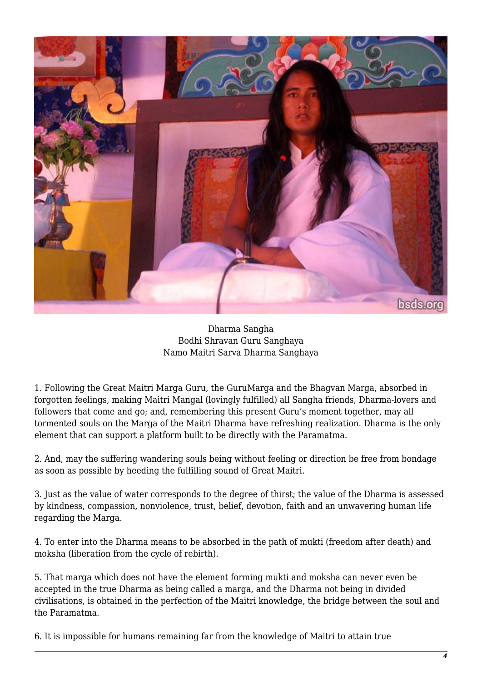

Dharma Sangha Bodhi Shravan Guru Sanghaya Namo Maitri Sarva Dharma Sanghaya

1. Following the Great Maitri Marga Guru, the GuruMarga and the Bhagvan Marga, absorbed in forgotten feelings, making Maitri Mangal (lovingly fulfilled) all Sangha friends, Dharma-lovers and followers that come and go; and, remembering this present Guru's moment together, may all tormented souls on the Marga of the Maitri Dharma have refreshing realization. Dharma is the only element that can support a platform built to be directly with the Paramatma.

2. And, may the suffering wandering souls being without feeling or direction be free from bondage as soon as possible by heeding the fulfilling sound of Great Maitri.

3. Just as the value of water corresponds to the degree of thirst; the value of the Dharma is assessed by kindness, compassion, nonviolence, trust, belief, devotion, faith and an unwavering human life regarding the Marga.

4. To enter into the Dharma means to be absorbed in the path of mukti (freedom after death) and moksha (liberation from the cycle of rebirth).

5. That marga which does not have the element forming mukti and moksha can never even be accepted in the true Dharma as being called a marga, and the Dharma not being in divided civilisations, is obtained in the perfection of the Maitri knowledge, the bridge between the soul and the Paramatma.

6. It is impossible for humans remaining far from the knowledge of Maitri to attain true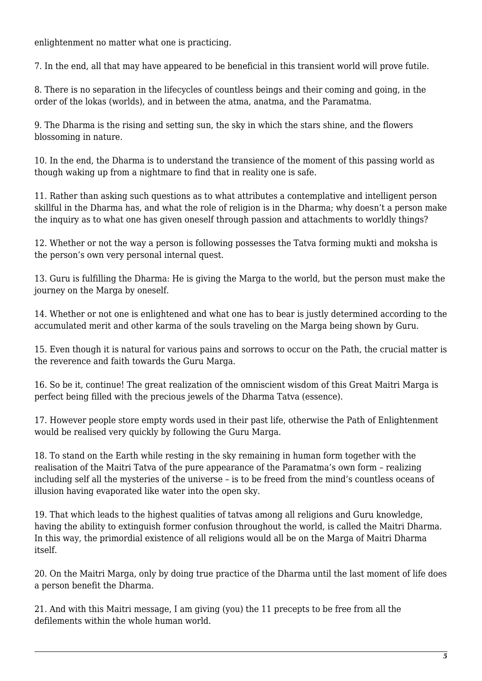enlightenment no matter what one is practicing.

7. In the end, all that may have appeared to be beneficial in this transient world will prove futile.

8. There is no separation in the lifecycles of countless beings and their coming and going, in the order of the lokas (worlds), and in between the atma, anatma, and the Paramatma.

9. The Dharma is the rising and setting sun, the sky in which the stars shine, and the flowers blossoming in nature.

10. In the end, the Dharma is to understand the transience of the moment of this passing world as though waking up from a nightmare to find that in reality one is safe.

11. Rather than asking such questions as to what attributes a contemplative and intelligent person skillful in the Dharma has, and what the role of religion is in the Dharma; why doesn't a person make the inquiry as to what one has given oneself through passion and attachments to worldly things?

12. Whether or not the way a person is following possesses the Tatva forming mukti and moksha is the person's own very personal internal quest.

13. Guru is fulfilling the Dharma: He is giving the Marga to the world, but the person must make the journey on the Marga by oneself.

14. Whether or not one is enlightened and what one has to bear is justly determined according to the accumulated merit and other karma of the souls traveling on the Marga being shown by Guru.

15. Even though it is natural for various pains and sorrows to occur on the Path, the crucial matter is the reverence and faith towards the Guru Marga.

16. So be it, continue! The great realization of the omniscient wisdom of this Great Maitri Marga is perfect being filled with the precious jewels of the Dharma Tatva (essence).

17. However people store empty words used in their past life, otherwise the Path of Enlightenment would be realised very quickly by following the Guru Marga.

18. To stand on the Earth while resting in the sky remaining in human form together with the realisation of the Maitri Tatva of the pure appearance of the Paramatma's own form – realizing including self all the mysteries of the universe – is to be freed from the mind's countless oceans of illusion having evaporated like water into the open sky.

19. That which leads to the highest qualities of tatvas among all religions and Guru knowledge, having the ability to extinguish former confusion throughout the world, is called the Maitri Dharma. In this way, the primordial existence of all religions would all be on the Marga of Maitri Dharma itself.

20. On the Maitri Marga, only by doing true practice of the Dharma until the last moment of life does a person benefit the Dharma.

21. And with this Maitri message, I am giving (you) the 11 precepts to be free from all the defilements within the whole human world.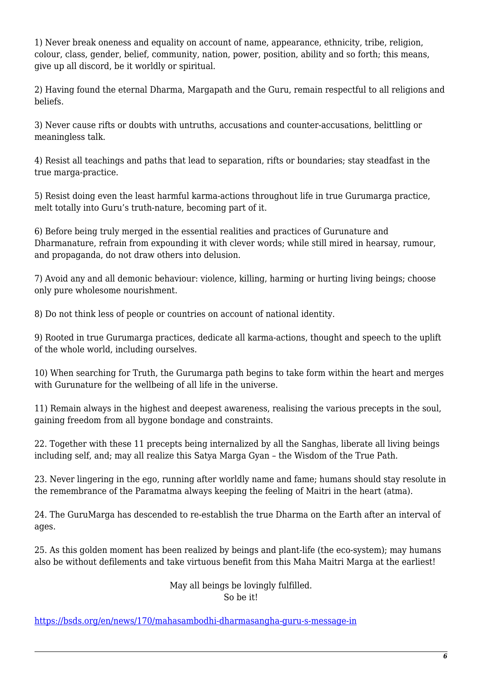1) Never break oneness and equality on account of name, appearance, ethnicity, tribe, religion, colour, class, gender, belief, community, nation, power, position, ability and so forth; this means, give up all discord, be it worldly or spiritual.

2) Having found the eternal Dharma, Margapath and the Guru, remain respectful to all religions and beliefs.

3) Never cause rifts or doubts with untruths, accusations and counter-accusations, belittling or meaningless talk.

4) Resist all teachings and paths that lead to separation, rifts or boundaries; stay steadfast in the true marga-practice.

5) Resist doing even the least harmful karma-actions throughout life in true Gurumarga practice, melt totally into Guru's truth-nature, becoming part of it.

6) Before being truly merged in the essential realities and practices of Gurunature and Dharmanature, refrain from expounding it with clever words; while still mired in hearsay, rumour, and propaganda, do not draw others into delusion.

7) Avoid any and all demonic behaviour: violence, killing, harming or hurting living beings; choose only pure wholesome nourishment.

8) Do not think less of people or countries on account of national identity.

9) Rooted in true Gurumarga practices, dedicate all karma-actions, thought and speech to the uplift of the whole world, including ourselves.

10) When searching for Truth, the Gurumarga path begins to take form within the heart and merges with Gurunature for the wellbeing of all life in the universe.

11) Remain always in the highest and deepest awareness, realising the various precepts in the soul, gaining freedom from all bygone bondage and constraints.

22. Together with these 11 precepts being internalized by all the Sanghas, liberate all living beings including self, and; may all realize this Satya Marga Gyan – the Wisdom of the True Path.

23. Never lingering in the ego, running after worldly name and fame; humans should stay resolute in the remembrance of the Paramatma always keeping the feeling of Maitri in the heart (atma).

24. The GuruMarga has descended to re-establish the true Dharma on the Earth after an interval of ages.

25. As this golden moment has been realized by beings and plant-life (the eco-system); may humans also be without defilements and take virtuous benefit from this Maha Maitri Marga at the earliest!

> May all beings be lovingly fulfilled. So be it!

<https://bsds.org/en/news/170/mahasambodhi-dharmasangha-guru-s-message-in>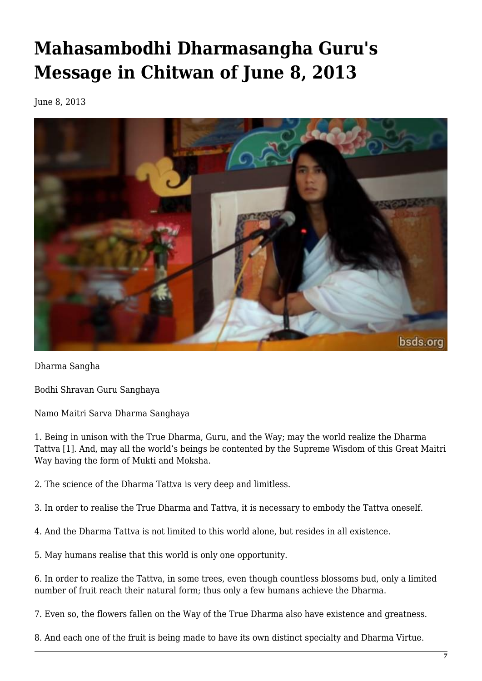# **Mahasambodhi Dharmasangha Guru's Message in Chitwan of June 8, 2013**

June 8, 2013



Dharma Sangha

Bodhi Shravan Guru Sanghaya

Namo Maitri Sarva Dharma Sanghaya

1. Being in unison with the True Dharma, Guru, and the Way; may the world realize the Dharma Tattva [1]. And, may all the world's beings be contented by the Supreme Wisdom of this Great Maitri Way having the form of Mukti and Moksha.

2. The science of the Dharma Tattva is very deep and limitless.

3. In order to realise the True Dharma and Tattva, it is necessary to embody the Tattva oneself.

4. And the Dharma Tattva is not limited to this world alone, but resides in all existence.

5. May humans realise that this world is only one opportunity.

6. In order to realize the Tattva, in some trees, even though countless blossoms bud, only a limited number of fruit reach their natural form; thus only a few humans achieve the Dharma.

7. Even so, the flowers fallen on the Way of the True Dharma also have existence and greatness.

8. And each one of the fruit is being made to have its own distinct specialty and Dharma Virtue.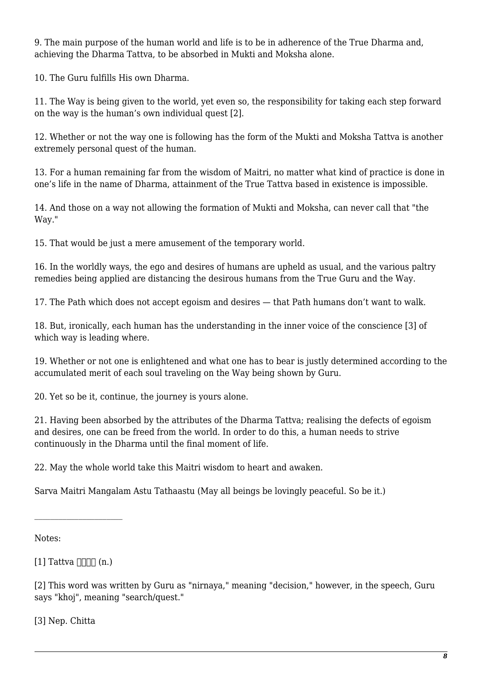9. The main purpose of the human world and life is to be in adherence of the True Dharma and, achieving the Dharma Tattva, to be absorbed in Mukti and Moksha alone.

10. The Guru fulfills His own Dharma.

11. The Way is being given to the world, yet even so, the responsibility for taking each step forward on the way is the human's own individual quest [2].

12. Whether or not the way one is following has the form of the Mukti and Moksha Tattva is another extremely personal quest of the human.

13. For a human remaining far from the wisdom of Maitri, no matter what kind of practice is done in one's life in the name of Dharma, attainment of the True Tattva based in existence is impossible.

14. And those on a way not allowing the formation of Mukti and Moksha, can never call that "the Way."

15. That would be just a mere amusement of the temporary world.

16. In the worldly ways, the ego and desires of humans are upheld as usual, and the various paltry remedies being applied are distancing the desirous humans from the True Guru and the Way.

17. The Path which does not accept egoism and desires — that Path humans don't want to walk.

18. But, ironically, each human has the understanding in the inner voice of the conscience [3] of which way is leading where.

19. Whether or not one is enlightened and what one has to bear is justly determined according to the accumulated merit of each soul traveling on the Way being shown by Guru.

20. Yet so be it, continue, the journey is yours alone.

21. Having been absorbed by the attributes of the Dharma Tattva; realising the defects of egoism and desires, one can be freed from the world. In order to do this, a human needs to strive continuously in the Dharma until the final moment of life.

22. May the whole world take this Maitri wisdom to heart and awaken.

Sarva Maitri Mangalam Astu Tathaastu (May all beings be lovingly peaceful. So be it.)

Notes:

 $[1]$  Tattva  $\Box \Box \Box$  (n.)

[2] This word was written by Guru as "nirnaya," meaning "decision," however, in the speech, Guru says "khoj", meaning "search/quest."

[3] Nep. Chitta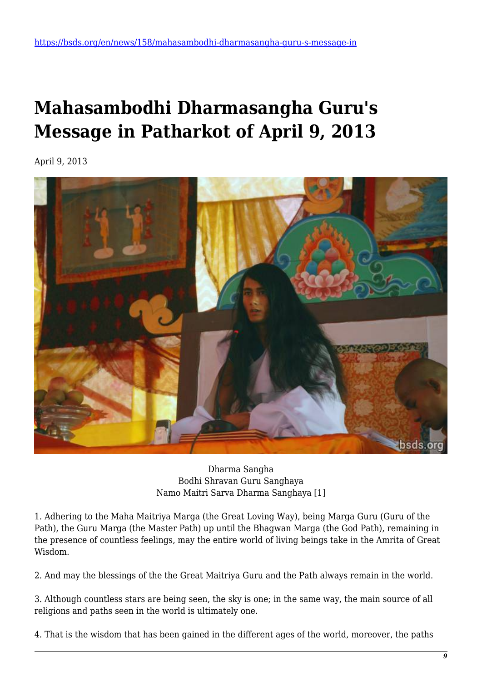## **Mahasambodhi Dharmasangha Guru's Message in Patharkot of April 9, 2013**

April 9, 2013



Dharma Sangha Bodhi Shravan Guru Sanghaya Namo Maitri Sarva Dharma Sanghaya [1]

1. Adhering to the Maha Maitriya Marga (the Great Loving Way), being Marga Guru (Guru of the Path), the Guru Marga (the Master Path) up until the Bhagwan Marga (the God Path), remaining in the presence of countless feelings, may the entire world of living beings take in the Amrita of Great Wisdom.

2. And may the blessings of the the Great Maitriya Guru and the Path always remain in the world.

3. Although countless stars are being seen, the sky is one; in the same way, the main source of all religions and paths seen in the world is ultimately one.

4. That is the wisdom that has been gained in the different ages of the world, moreover, the paths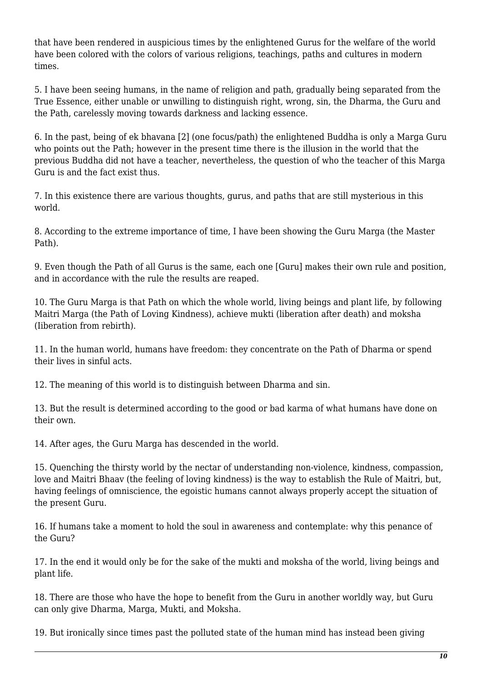that have been rendered in auspicious times by the enlightened Gurus for the welfare of the world have been colored with the colors of various religions, teachings, paths and cultures in modern times.

5. I have been seeing humans, in the name of religion and path, gradually being separated from the True Essence, either unable or unwilling to distinguish right, wrong, sin, the Dharma, the Guru and the Path, carelessly moving towards darkness and lacking essence.

6. In the past, being of ek bhavana [2] (one focus/path) the enlightened Buddha is only a Marga Guru who points out the Path; however in the present time there is the illusion in the world that the previous Buddha did not have a teacher, nevertheless, the question of who the teacher of this Marga Guru is and the fact exist thus.

7. In this existence there are various thoughts, gurus, and paths that are still mysterious in this world.

8. According to the extreme importance of time, I have been showing the Guru Marga (the Master Path).

9. Even though the Path of all Gurus is the same, each one [Guru] makes their own rule and position, and in accordance with the rule the results are reaped.

10. The Guru Marga is that Path on which the whole world, living beings and plant life, by following Maitri Marga (the Path of Loving Kindness), achieve mukti (liberation after death) and moksha (Iiberation from rebirth).

11. In the human world, humans have freedom: they concentrate on the Path of Dharma or spend their lives in sinful acts.

12. The meaning of this world is to distinguish between Dharma and sin.

13. But the result is determined according to the good or bad karma of what humans have done on their own.

14. After ages, the Guru Marga has descended in the world.

15. Quenching the thirsty world by the nectar of understanding non-violence, kindness, compassion, love and Maitri Bhaav (the feeling of loving kindness) is the way to establish the Rule of Maitri, but, having feelings of omniscience, the egoistic humans cannot always properly accept the situation of the present Guru.

16. If humans take a moment to hold the soul in awareness and contemplate: why this penance of the Guru?

17. In the end it would only be for the sake of the mukti and moksha of the world, living beings and plant life.

18. There are those who have the hope to benefit from the Guru in another worldly way, but Guru can only give Dharma, Marga, Mukti, and Moksha.

19. But ironically since times past the polluted state of the human mind has instead been giving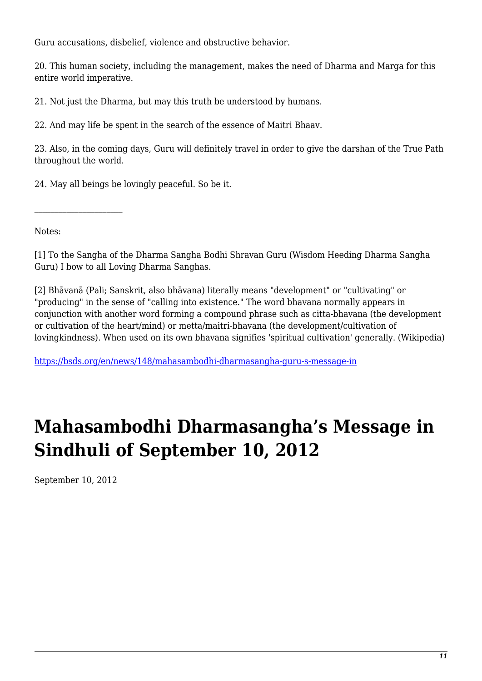Guru accusations, disbelief, violence and obstructive behavior.

20. This human society, including the management, makes the need of Dharma and Marga for this entire world imperative.

21. Not just the Dharma, but may this truth be understood by humans.

22. And may life be spent in the search of the essence of Maitri Bhaav.

23. Also, in the coming days, Guru will definitely travel in order to give the darshan of the True Path throughout the world.

24. May all beings be lovingly peaceful. So be it.

Notes:

[1] To the Sangha of the Dharma Sangha Bodhi Shravan Guru (Wisdom Heeding Dharma Sangha Guru) I bow to all Loving Dharma Sanghas.

[2] Bhāvanā (Pali; Sanskrit, also bhāvana) literally means "development" or "cultivating" or "producing" in the sense of "calling into existence." The word bhavana normally appears in conjunction with another word forming a compound phrase such as citta-bhavana (the development or cultivation of the heart/mind) or metta/maitri-bhavana (the development/cultivation of lovingkindness). When used on its own bhavana signifies 'spiritual cultivation' generally. (Wikipedia)

<https://bsds.org/en/news/148/mahasambodhi-dharmasangha-guru-s-message-in>

### **Mahasambodhi Dharmasangha's Message in Sindhuli of September 10, 2012**

September 10, 2012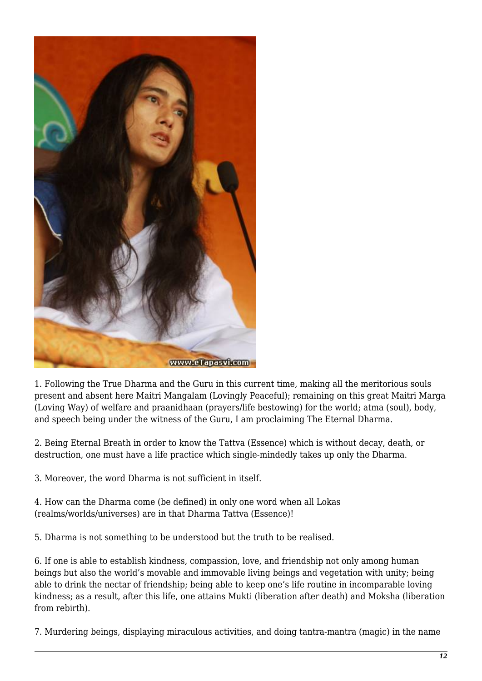

1. Following the True Dharma and the Guru in this current time, making all the meritorious souls present and absent here Maitri Mangalam (Lovingly Peaceful); remaining on this great Maitri Marga (Loving Way) of welfare and praanidhaan (prayers/life bestowing) for the world; atma (soul), body, and speech being under the witness of the Guru, I am proclaiming The Eternal Dharma.

2. Being Eternal Breath in order to know the Tattva (Essence) which is without decay, death, or destruction, one must have a life practice which single-mindedly takes up only the Dharma.

3. Moreover, the word Dharma is not sufficient in itself.

4. How can the Dharma come (be defined) in only one word when all Lokas (realms/worlds/universes) are in that Dharma Tattva (Essence)!

5. Dharma is not something to be understood but the truth to be realised.

6. If one is able to establish kindness, compassion, love, and friendship not only among human beings but also the world's movable and immovable living beings and vegetation with unity; being able to drink the nectar of friendship; being able to keep one's life routine in incomparable loving kindness; as a result, after this life, one attains Mukti (liberation after death) and Moksha (liberation from rebirth).

7. Murdering beings, displaying miraculous activities, and doing tantra-mantra (magic) in the name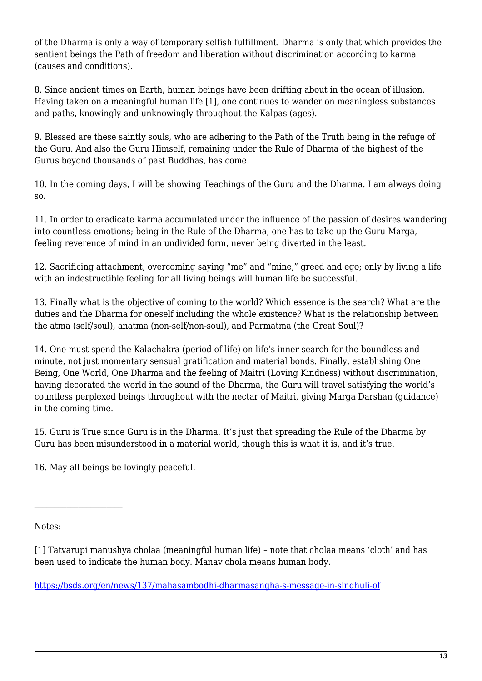of the Dharma is only a way of temporary selfish fulfillment. Dharma is only that which provides the sentient beings the Path of freedom and liberation without discrimination according to karma (causes and conditions).

8. Since ancient times on Earth, human beings have been drifting about in the ocean of illusion. Having taken on a meaningful human life [1], one continues to wander on meaningless substances and paths, knowingly and unknowingly throughout the Kalpas (ages).

9. Blessed are these saintly souls, who are adhering to the Path of the Truth being in the refuge of the Guru. And also the Guru Himself, remaining under the Rule of Dharma of the highest of the Gurus beyond thousands of past Buddhas, has come.

10. In the coming days, I will be showing Teachings of the Guru and the Dharma. I am always doing so.

11. In order to eradicate karma accumulated under the influence of the passion of desires wandering into countless emotions; being in the Rule of the Dharma, one has to take up the Guru Marga, feeling reverence of mind in an undivided form, never being diverted in the least.

12. Sacrificing attachment, overcoming saying "me" and "mine," greed and ego; only by living a life with an indestructible feeling for all living beings will human life be successful.

13. Finally what is the objective of coming to the world? Which essence is the search? What are the duties and the Dharma for oneself including the whole existence? What is the relationship between the atma (self/soul), anatma (non-self/non-soul), and Parmatma (the Great Soul)?

14. One must spend the Kalachakra (period of life) on life's inner search for the boundless and minute, not just momentary sensual gratification and material bonds. Finally, establishing One Being, One World, One Dharma and the feeling of Maitri (Loving Kindness) without discrimination, having decorated the world in the sound of the Dharma, the Guru will travel satisfying the world's countless perplexed beings throughout with the nectar of Maitri, giving Marga Darshan (guidance) in the coming time.

15. Guru is True since Guru is in the Dharma. It's just that spreading the Rule of the Dharma by Guru has been misunderstood in a material world, though this is what it is, and it's true.

16. May all beings be lovingly peaceful.

Notes:

[1] Tatvarupi manushya cholaa (meaningful human life) – note that cholaa means 'cloth' and has been used to indicate the human body. Manav chola means human body.

<https://bsds.org/en/news/137/mahasambodhi-dharmasangha-s-message-in-sindhuli-of>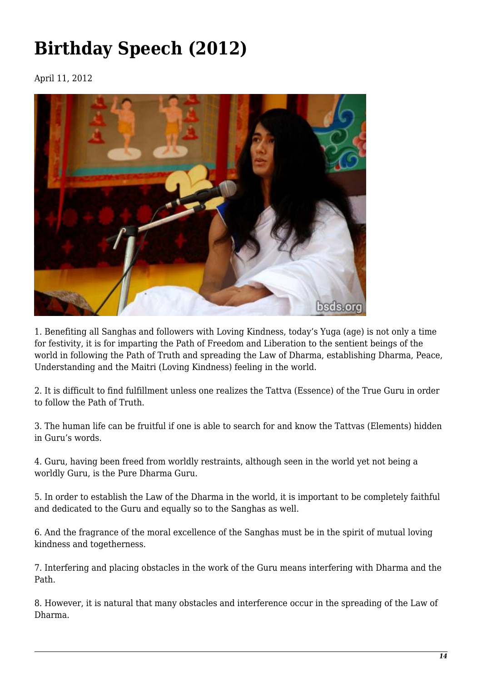# **Birthday Speech (2012)**

April 11, 2012



1. Benefiting all Sanghas and followers with Loving Kindness, today's Yuga (age) is not only a time for festivity, it is for imparting the Path of Freedom and Liberation to the sentient beings of the world in following the Path of Truth and spreading the Law of Dharma, establishing Dharma, Peace, Understanding and the Maitri (Loving Kindness) feeling in the world.

2. It is difficult to find fulfillment unless one realizes the Tattva (Essence) of the True Guru in order to follow the Path of Truth.

3. The human life can be fruitful if one is able to search for and know the Tattvas (Elements) hidden in Guru's words.

4. Guru, having been freed from worldly restraints, although seen in the world yet not being a worldly Guru, is the Pure Dharma Guru.

5. In order to establish the Law of the Dharma in the world, it is important to be completely faithful and dedicated to the Guru and equally so to the Sanghas as well.

6. And the fragrance of the moral excellence of the Sanghas must be in the spirit of mutual loving kindness and togetherness.

7. Interfering and placing obstacles in the work of the Guru means interfering with Dharma and the Path.

8. However, it is natural that many obstacles and interference occur in the spreading of the Law of Dharma.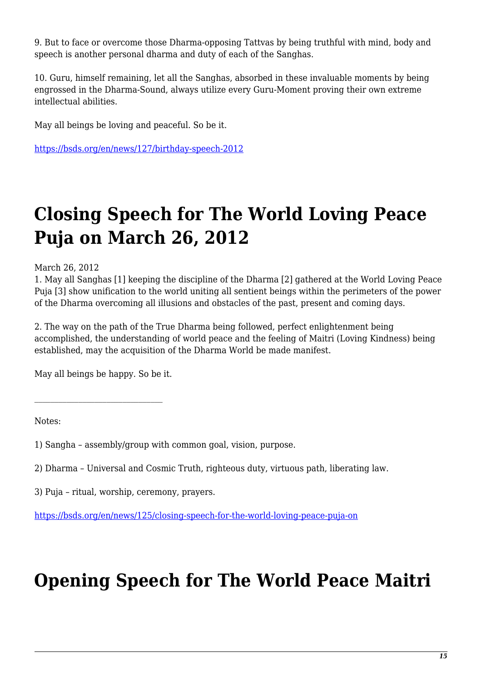9. But to face or overcome those Dharma-opposing Tattvas by being truthful with mind, body and speech is another personal dharma and duty of each of the Sanghas.

10. Guru, himself remaining, let all the Sanghas, absorbed in these invaluable moments by being engrossed in the Dharma-Sound, always utilize every Guru-Moment proving their own extreme intellectual abilities.

May all beings be loving and peaceful. So be it.

<https://bsds.org/en/news/127/birthday-speech-2012>

## **Closing Speech for The World Loving Peace Puja on March 26, 2012**

March 26, 2012

1. May all Sanghas [1] keeping the discipline of the Dharma [2] gathered at the World Loving Peace Puja [3] show unification to the world uniting all sentient beings within the perimeters of the power of the Dharma overcoming all illusions and obstacles of the past, present and coming days.

2. The way on the path of the True Dharma being followed, perfect enlightenment being accomplished, the understanding of world peace and the feeling of Maitri (Loving Kindness) being established, may the acquisition of the Dharma World be made manifest.

May all beings be happy. So be it.

Notes:

1) Sangha – assembly/group with common goal, vision, purpose.

2) Dharma – Universal and Cosmic Truth, righteous duty, virtuous path, liberating law.

3) Puja – ritual, worship, ceremony, prayers.

<https://bsds.org/en/news/125/closing-speech-for-the-world-loving-peace-puja-on>

#### **Opening Speech for The World Peace Maitri**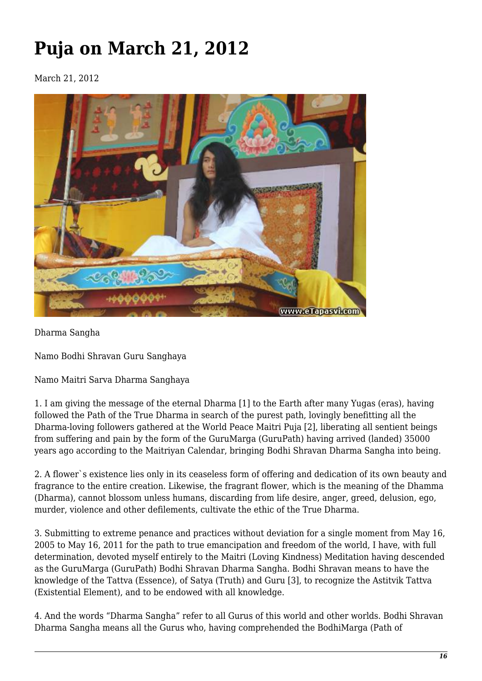# **Puja on March 21, 2012**

March 21, 2012



Dharma Sangha

Namo Bodhi Shravan Guru Sanghaya

Namo Maitri Sarva Dharma Sanghaya

1. I am giving the message of the eternal Dharma [1] to the Earth after many Yugas (eras), having followed the Path of the True Dharma in search of the purest path, lovingly benefitting all the Dharma-loving followers gathered at the World Peace Maitri Puja [2], liberating all sentient beings from suffering and pain by the form of the GuruMarga (GuruPath) having arrived (landed) 35000 years ago according to the Maitriyan Calendar, bringing Bodhi Shravan Dharma Sangha into being.

2. A flower`s existence lies only in its ceaseless form of offering and dedication of its own beauty and fragrance to the entire creation. Likewise, the fragrant flower, which is the meaning of the Dhamma (Dharma), cannot blossom unless humans, discarding from life desire, anger, greed, delusion, ego, murder, violence and other defilements, cultivate the ethic of the True Dharma.

3. Submitting to extreme penance and practices without deviation for a single moment from May 16, 2005 to May 16, 2011 for the path to true emancipation and freedom of the world, I have, with full determination, devoted myself entirely to the Maitri (Loving Kindness) Meditation having descended as the GuruMarga (GuruPath) Bodhi Shravan Dharma Sangha. Bodhi Shravan means to have the knowledge of the Tattva (Essence), of Satya (Truth) and Guru [3], to recognize the Astitvik Tattva (Existential Element), and to be endowed with all knowledge.

4. And the words "Dharma Sangha" refer to all Gurus of this world and other worlds. Bodhi Shravan Dharma Sangha means all the Gurus who, having comprehended the BodhiMarga (Path of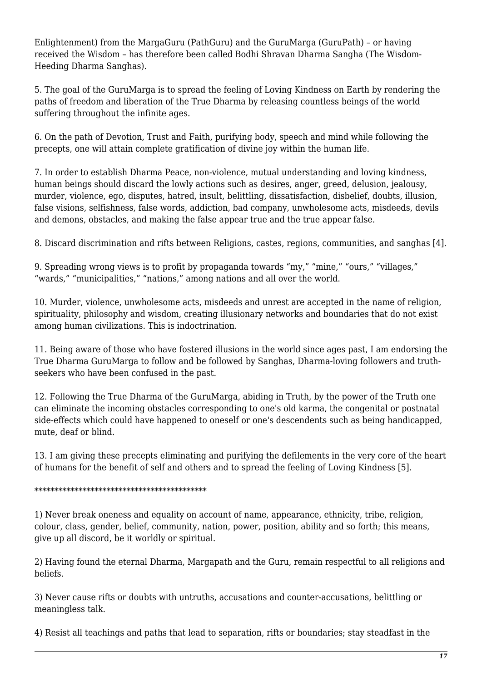Enlightenment) from the MargaGuru (PathGuru) and the GuruMarga (GuruPath) – or having received the Wisdom – has therefore been called Bodhi Shravan Dharma Sangha (The Wisdom-Heeding Dharma Sanghas).

5. The goal of the GuruMarga is to spread the feeling of Loving Kindness on Earth by rendering the paths of freedom and liberation of the True Dharma by releasing countless beings of the world suffering throughout the infinite ages.

6. On the path of Devotion, Trust and Faith, purifying body, speech and mind while following the precepts, one will attain complete gratification of divine joy within the human life.

7. In order to establish Dharma Peace, non-violence, mutual understanding and loving kindness, human beings should discard the lowly actions such as desires, anger, greed, delusion, jealousy, murder, violence, ego, disputes, hatred, insult, belittling, dissatisfaction, disbelief, doubts, illusion, false visions, selfishness, false words, addiction, bad company, unwholesome acts, misdeeds, devils and demons, obstacles, and making the false appear true and the true appear false.

8. Discard discrimination and rifts between Religions, castes, regions, communities, and sanghas [4].

9. Spreading wrong views is to profit by propaganda towards "my," "mine," "ours," "villages," "wards," "municipalities," "nations," among nations and all over the world.

10. Murder, violence, unwholesome acts, misdeeds and unrest are accepted in the name of religion, spirituality, philosophy and wisdom, creating illusionary networks and boundaries that do not exist among human civilizations. This is indoctrination.

11. Being aware of those who have fostered illusions in the world since ages past, I am endorsing the True Dharma GuruMarga to follow and be followed by Sanghas, Dharma-loving followers and truthseekers who have been confused in the past.

12. Following the True Dharma of the GuruMarga, abiding in Truth, by the power of the Truth one can eliminate the incoming obstacles corresponding to one's old karma, the congenital or postnatal side-effects which could have happened to oneself or one's descendents such as being handicapped, mute, deaf or blind.

13. I am giving these precepts eliminating and purifying the defilements in the very core of the heart of humans for the benefit of self and others and to spread the feeling of Loving Kindness [5].

#### \*\*\*\*\*\*\*\*\*\*\*\*\*\*\*\*\*\*\*\*\*\*\*\*\*\*\*\*\*\*\*\*\*\*\*\*\*\*\*\*\*\*\*

1) Never break oneness and equality on account of name, appearance, ethnicity, tribe, religion, colour, class, gender, belief, community, nation, power, position, ability and so forth; this means, give up all discord, be it worldly or spiritual.

2) Having found the eternal Dharma, Margapath and the Guru, remain respectful to all religions and beliefs.

3) Never cause rifts or doubts with untruths, accusations and counter-accusations, belittling or meaningless talk.

4) Resist all teachings and paths that lead to separation, rifts or boundaries; stay steadfast in the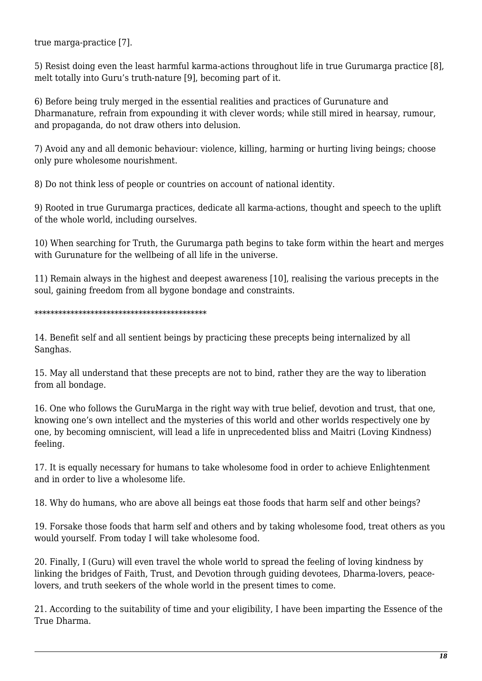true marga-practice [7].

5) Resist doing even the least harmful karma-actions throughout life in true Gurumarga practice [8], melt totally into Guru's truth-nature [9], becoming part of it.

6) Before being truly merged in the essential realities and practices of Gurunature and Dharmanature, refrain from expounding it with clever words; while still mired in hearsay, rumour, and propaganda, do not draw others into delusion.

7) Avoid any and all demonic behaviour: violence, killing, harming or hurting living beings; choose only pure wholesome nourishment.

8) Do not think less of people or countries on account of national identity.

9) Rooted in true Gurumarga practices, dedicate all karma-actions, thought and speech to the uplift of the whole world, including ourselves.

10) When searching for Truth, the Gurumarga path begins to take form within the heart and merges with Gurunature for the wellbeing of all life in the universe.

11) Remain always in the highest and deepest awareness [10], realising the various precepts in the soul, gaining freedom from all bygone bondage and constraints.

#### \*\*\*\*\*\*\*\*\*\*\*\*\*\*\*\*\*\*\*\*\*\*\*\*\*\*\*\*\*\*\*\*\*\*\*\*\*\*\*\*\*\*\*

14. Benefit self and all sentient beings by practicing these precepts being internalized by all Sanghas.

15. May all understand that these precepts are not to bind, rather they are the way to liberation from all bondage.

16. One who follows the GuruMarga in the right way with true belief, devotion and trust, that one, knowing one's own intellect and the mysteries of this world and other worlds respectively one by one, by becoming omniscient, will lead a life in unprecedented bliss and Maitri (Loving Kindness) feeling.

17. It is equally necessary for humans to take wholesome food in order to achieve Enlightenment and in order to live a wholesome life.

18. Why do humans, who are above all beings eat those foods that harm self and other beings?

19. Forsake those foods that harm self and others and by taking wholesome food, treat others as you would yourself. From today I will take wholesome food.

20. Finally, I (Guru) will even travel the whole world to spread the feeling of loving kindness by linking the bridges of Faith, Trust, and Devotion through guiding devotees, Dharma-lovers, peacelovers, and truth seekers of the whole world in the present times to come.

21. According to the suitability of time and your eligibility, I have been imparting the Essence of the True Dharma.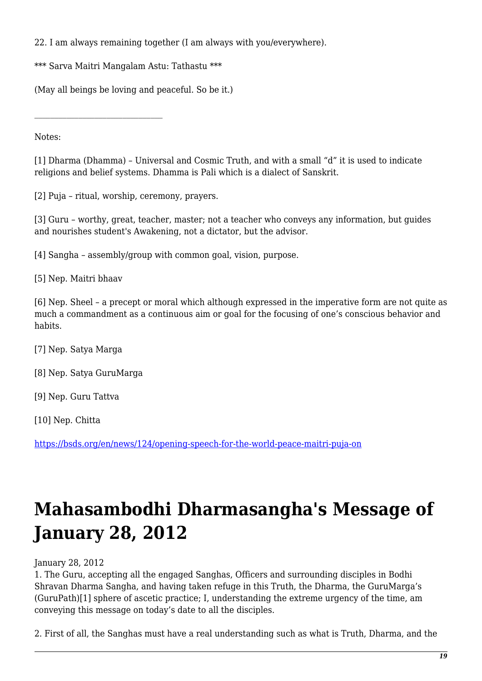22. I am always remaining together (I am always with you/everywhere).

\*\*\* Sarva Maitri Mangalam Astu: Tathastu \*\*\*

(May all beings be loving and peaceful. So be it.)

Notes:

[1] Dharma (Dhamma) – Universal and Cosmic Truth, and with a small "d" it is used to indicate religions and belief systems. Dhamma is Pali which is a dialect of Sanskrit.

[2] Puja – ritual, worship, ceremony, prayers.

[3] Guru – worthy, great, teacher, master; not a teacher who conveys any information, but guides and nourishes student's Awakening, not a dictator, but the advisor.

[4] Sangha – assembly/group with common goal, vision, purpose.

[5] Nep. Maitri bhaav

[6] Nep. Sheel – a precept or moral which although expressed in the imperative form are not quite as much a commandment as a continuous aim or goal for the focusing of one's conscious behavior and habits.

[7] Nep. Satya Marga

[8] Nep. Satya GuruMarga

[9] Nep. Guru Tattva

[10] Nep. Chitta

<https://bsds.org/en/news/124/opening-speech-for-the-world-peace-maitri-puja-on>

# **Mahasambodhi Dharmasangha's Message of January 28, 2012**

January 28, 2012

1. The Guru, accepting all the engaged Sanghas, Officers and surrounding disciples in Bodhi Shravan Dharma Sangha, and having taken refuge in this Truth, the Dharma, the GuruMarga's (GuruPath)[1] sphere of ascetic practice; I, understanding the extreme urgency of the time, am conveying this message on today's date to all the disciples.

2. First of all, the Sanghas must have a real understanding such as what is Truth, Dharma, and the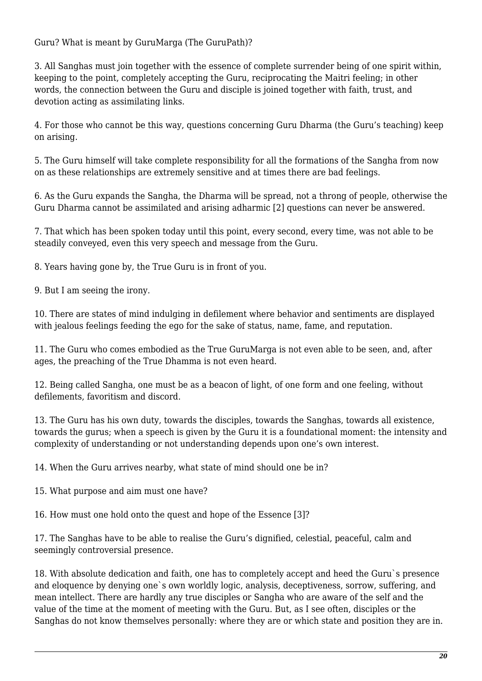Guru? What is meant by GuruMarga (The GuruPath)?

3. All Sanghas must join together with the essence of complete surrender being of one spirit within, keeping to the point, completely accepting the Guru, reciprocating the Maitri feeling; in other words, the connection between the Guru and disciple is joined together with faith, trust, and devotion acting as assimilating links.

4. For those who cannot be this way, questions concerning Guru Dharma (the Guru's teaching) keep on arising.

5. The Guru himself will take complete responsibility for all the formations of the Sangha from now on as these relationships are extremely sensitive and at times there are bad feelings.

6. As the Guru expands the Sangha, the Dharma will be spread, not a throng of people, otherwise the Guru Dharma cannot be assimilated and arising adharmic [2] questions can never be answered.

7. That which has been spoken today until this point, every second, every time, was not able to be steadily conveyed, even this very speech and message from the Guru.

8. Years having gone by, the True Guru is in front of you.

9. But I am seeing the irony.

10. There are states of mind indulging in defilement where behavior and sentiments are displayed with jealous feelings feeding the ego for the sake of status, name, fame, and reputation.

11. The Guru who comes embodied as the True GuruMarga is not even able to be seen, and, after ages, the preaching of the True Dhamma is not even heard.

12. Being called Sangha, one must be as a beacon of light, of one form and one feeling, without defilements, favoritism and discord.

13. The Guru has his own duty, towards the disciples, towards the Sanghas, towards all existence, towards the gurus; when a speech is given by the Guru it is a foundational moment: the intensity and complexity of understanding or not understanding depends upon one's own interest.

14. When the Guru arrives nearby, what state of mind should one be in?

15. What purpose and aim must one have?

16. How must one hold onto the quest and hope of the Essence [3]?

17. The Sanghas have to be able to realise the Guru's dignified, celestial, peaceful, calm and seemingly controversial presence.

18. With absolute dedication and faith, one has to completely accept and heed the Guru`s presence and eloquence by denying one`s own worldly logic, analysis, deceptiveness, sorrow, suffering, and mean intellect. There are hardly any true disciples or Sangha who are aware of the self and the value of the time at the moment of meeting with the Guru. But, as I see often, disciples or the Sanghas do not know themselves personally: where they are or which state and position they are in.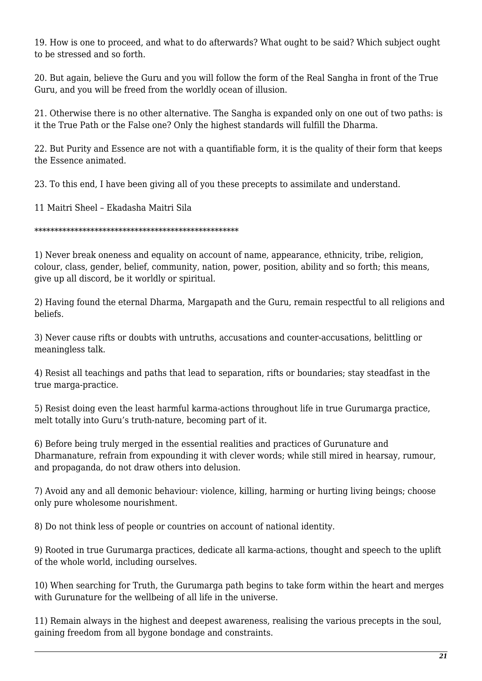19. How is one to proceed, and what to do afterwards? What ought to be said? Which subject ought to be stressed and so forth.

20. But again, believe the Guru and you will follow the form of the Real Sangha in front of the True Guru, and you will be freed from the worldly ocean of illusion.

21. Otherwise there is no other alternative. The Sangha is expanded only on one out of two paths: is it the True Path or the False one? Only the highest standards will fulfill the Dharma.

22. But Purity and Essence are not with a quantifiable form, it is the quality of their form that keeps the Essence animated.

23. To this end, I have been giving all of you these precepts to assimilate and understand.

11 Maitri Sheel – Ekadasha Maitri Sila

\*\*\*\*\*\*\*\*\*\*\*\*\*\*\*\*\*\*\*\*\*\*\*\*\*\*\*\*\*\*\*\*\*\*\*\*\*\*\*\*\*\*\*\*\*\*\*\*\*\*\*

1) Never break oneness and equality on account of name, appearance, ethnicity, tribe, religion, colour, class, gender, belief, community, nation, power, position, ability and so forth; this means, give up all discord, be it worldly or spiritual.

2) Having found the eternal Dharma, Margapath and the Guru, remain respectful to all religions and beliefs.

3) Never cause rifts or doubts with untruths, accusations and counter-accusations, belittling or meaningless talk.

4) Resist all teachings and paths that lead to separation, rifts or boundaries; stay steadfast in the true marga-practice.

5) Resist doing even the least harmful karma-actions throughout life in true Gurumarga practice, melt totally into Guru's truth-nature, becoming part of it.

6) Before being truly merged in the essential realities and practices of Gurunature and Dharmanature, refrain from expounding it with clever words; while still mired in hearsay, rumour, and propaganda, do not draw others into delusion.

7) Avoid any and all demonic behaviour: violence, killing, harming or hurting living beings; choose only pure wholesome nourishment.

8) Do not think less of people or countries on account of national identity.

9) Rooted in true Gurumarga practices, dedicate all karma-actions, thought and speech to the uplift of the whole world, including ourselves.

10) When searching for Truth, the Gurumarga path begins to take form within the heart and merges with Gurunature for the wellbeing of all life in the universe.

11) Remain always in the highest and deepest awareness, realising the various precepts in the soul, gaining freedom from all bygone bondage and constraints.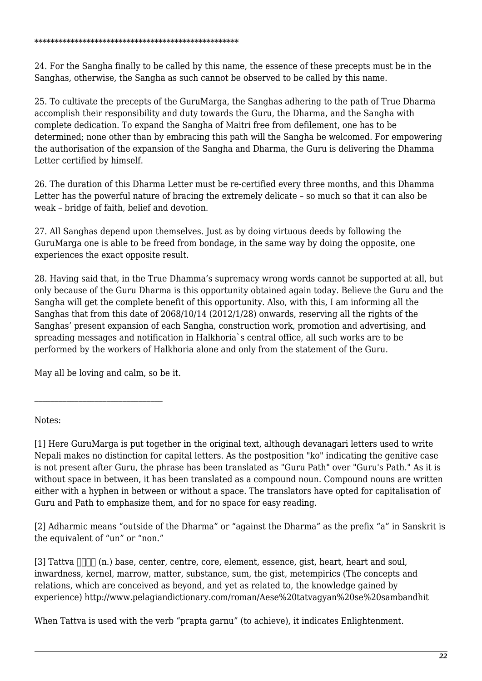24. For the Sangha finally to be called by this name, the essence of these precepts must be in the Sanghas, otherwise, the Sangha as such cannot be observed to be called by this name.

25. To cultivate the precepts of the GuruMarga, the Sanghas adhering to the path of True Dharma accomplish their responsibility and duty towards the Guru, the Dharma, and the Sangha with complete dedication. To expand the Sangha of Maitri free from defilement, one has to be determined; none other than by embracing this path will the Sangha be welcomed. For empowering the authorisation of the expansion of the Sangha and Dharma, the Guru is delivering the Dhamma Letter certified by himself.

26. The duration of this Dharma Letter must be re-certified every three months, and this Dhamma Letter has the powerful nature of bracing the extremely delicate – so much so that it can also be weak – bridge of faith, belief and devotion.

27. All Sanghas depend upon themselves. Just as by doing virtuous deeds by following the GuruMarga one is able to be freed from bondage, in the same way by doing the opposite, one experiences the exact opposite result.

28. Having said that, in the True Dhamma's supremacy wrong words cannot be supported at all, but only because of the Guru Dharma is this opportunity obtained again today. Believe the Guru and the Sangha will get the complete benefit of this opportunity. Also, with this, I am informing all the Sanghas that from this date of 2068/10/14 (2012/1/28) onwards, reserving all the rights of the Sanghas' present expansion of each Sangha, construction work, promotion and advertising, and spreading messages and notification in Halkhoria`s central office, all such works are to be performed by the workers of Halkhoria alone and only from the statement of the Guru.

May all be loving and calm, so be it.

Notes:

[1] Here GuruMarga is put together in the original text, although devanagari letters used to write Nepali makes no distinction for capital letters. As the postposition "ko" indicating the genitive case is not present after Guru, the phrase has been translated as "Guru Path" over "Guru's Path." As it is without space in between, it has been translated as a compound noun. Compound nouns are written either with a hyphen in between or without a space. The translators have opted for capitalisation of Guru and Path to emphasize them, and for no space for easy reading.

[2] Adharmic means "outside of the Dharma" or "against the Dharma" as the prefix "a" in Sanskrit is the equivalent of "un" or "non."

[3] Tattva  $\Box \Box \Box$  (n.) base, center, centre, core, element, essence, gist, heart, heart and soul, inwardness, kernel, marrow, matter, substance, sum, the gist, metempirics (The concepts and relations, which are conceived as beyond, and yet as related to, the knowledge gained by experience) http://www.pelagiandictionary.com/roman/Aese%20tatvagyan%20se%20sambandhit

When Tattva is used with the verb "prapta garnu" (to achieve), it indicates Enlightenment.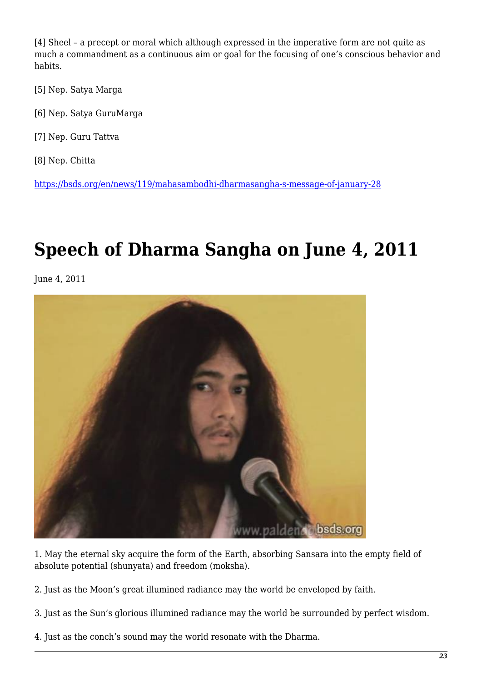[4] Sheel – a precept or moral which although expressed in the imperative form are not quite as much a commandment as a continuous aim or goal for the focusing of one's conscious behavior and habits.

- [5] Nep. Satya Marga
- [6] Nep. Satya GuruMarga
- [7] Nep. Guru Tattva
- [8] Nep. Chitta

<https://bsds.org/en/news/119/mahasambodhi-dharmasangha-s-message-of-january-28>

### **Speech of Dharma Sangha on June 4, 2011**

June 4, 2011



1. May the eternal sky acquire the form of the Earth, absorbing Sansara into the empty field of absolute potential (shunyata) and freedom (moksha).

2. Just as the Moon's great illumined radiance may the world be enveloped by faith.

- 3. Just as the Sun's glorious illumined radiance may the world be surrounded by perfect wisdom.
- 4. Just as the conch's sound may the world resonate with the Dharma.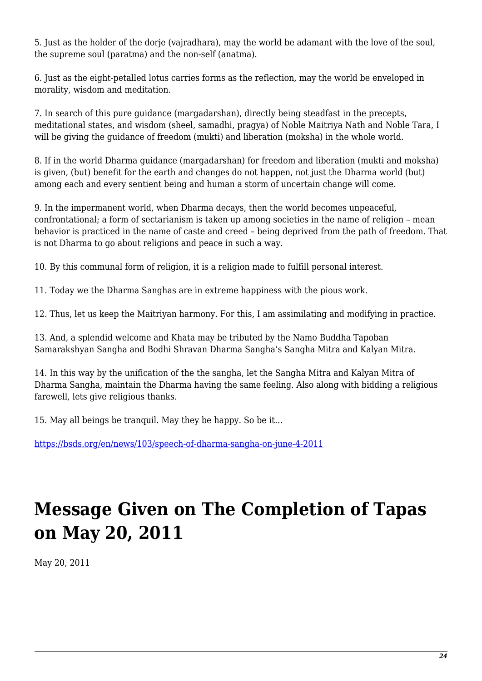5. Just as the holder of the dorie (vairadhara), may the world be adamant with the love of the soul, the supreme soul (paratma) and the non-self (anatma).

6. Just as the eight-petalled lotus carries forms as the reflection, may the world be enveloped in morality, wisdom and meditation.

7. In search of this pure guidance (margadarshan), directly being steadfast in the precepts, meditational states, and wisdom (sheel, samadhi, pragya) of Noble Maitriya Nath and Noble Tara, I will be giving the guidance of freedom (mukti) and liberation (moksha) in the whole world.

8. If in the world Dharma guidance (margadarshan) for freedom and liberation (mukti and moksha) is given, (but) benefit for the earth and changes do not happen, not just the Dharma world (but) among each and every sentient being and human a storm of uncertain change will come.

9. In the impermanent world, when Dharma decays, then the world becomes unpeaceful, confrontational; a form of sectarianism is taken up among societies in the name of religion – mean behavior is practiced in the name of caste and creed – being deprived from the path of freedom. That is not Dharma to go about religions and peace in such a way.

10. By this communal form of religion, it is a religion made to fulfill personal interest.

11. Today we the Dharma Sanghas are in extreme happiness with the pious work.

12. Thus, let us keep the Maitriyan harmony. For this, I am assimilating and modifying in practice.

13. And, a splendid welcome and Khata may be tributed by the Namo Buddha Tapoban Samarakshyan Sangha and Bodhi Shravan Dharma Sangha's Sangha Mitra and Kalyan Mitra.

14. In this way by the unification of the the sangha, let the Sangha Mitra and Kalyan Mitra of Dharma Sangha, maintain the Dharma having the same feeling. Also along with bidding a religious farewell, lets give religious thanks.

15. May all beings be tranquil. May they be happy. So be it...

<https://bsds.org/en/news/103/speech-of-dharma-sangha-on-june-4-2011>

# **Message Given on The Completion of Tapas on May 20, 2011**

May 20, 2011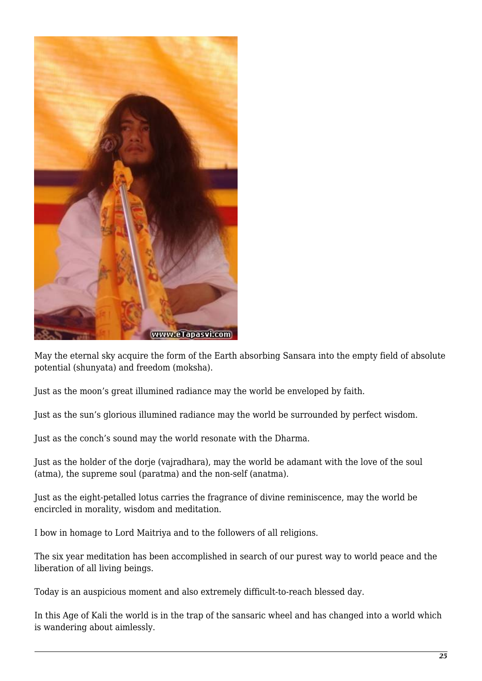

May the eternal sky acquire the form of the Earth absorbing Sansara into the empty field of absolute potential (shunyata) and freedom (moksha).

Just as the moon's great illumined radiance may the world be enveloped by faith.

Just as the sun's glorious illumined radiance may the world be surrounded by perfect wisdom.

Just as the conch's sound may the world resonate with the Dharma.

Just as the holder of the dorje (vajradhara), may the world be adamant with the love of the soul (atma), the supreme soul (paratma) and the non-self (anatma).

Just as the eight-petalled lotus carries the fragrance of divine reminiscence, may the world be encircled in morality, wisdom and meditation.

I bow in homage to Lord Maitriya and to the followers of all religions.

The six year meditation has been accomplished in search of our purest way to world peace and the liberation of all living beings.

Today is an auspicious moment and also extremely difficult-to-reach blessed day.

In this Age of Kali the world is in the trap of the sansaric wheel and has changed into a world which is wandering about aimlessly.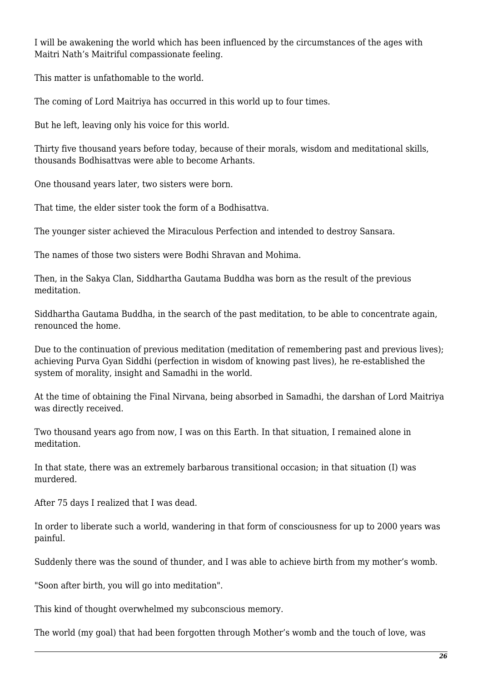I will be awakening the world which has been influenced by the circumstances of the ages with Maitri Nath's Maitriful compassionate feeling.

This matter is unfathomable to the world.

The coming of Lord Maitriya has occurred in this world up to four times.

But he left, leaving only his voice for this world.

Thirty five thousand years before today, because of their morals, wisdom and meditational skills, thousands Bodhisattvas were able to become Arhants.

One thousand years later, two sisters were born.

That time, the elder sister took the form of a Bodhisattva.

The younger sister achieved the Miraculous Perfection and intended to destroy Sansara.

The names of those two sisters were Bodhi Shravan and Mohima.

Then, in the Sakya Clan, Siddhartha Gautama Buddha was born as the result of the previous meditation.

Siddhartha Gautama Buddha, in the search of the past meditation, to be able to concentrate again, renounced the home.

Due to the continuation of previous meditation (meditation of remembering past and previous lives); achieving Purva Gyan Siddhi (perfection in wisdom of knowing past lives), he re-established the system of morality, insight and Samadhi in the world.

At the time of obtaining the Final Nirvana, being absorbed in Samadhi, the darshan of Lord Maitriya was directly received.

Two thousand years ago from now, I was on this Earth. In that situation, I remained alone in meditation.

In that state, there was an extremely barbarous transitional occasion; in that situation (I) was murdered.

After 75 days I realized that I was dead.

In order to liberate such a world, wandering in that form of consciousness for up to 2000 years was painful.

Suddenly there was the sound of thunder, and I was able to achieve birth from my mother's womb.

"Soon after birth, you will go into meditation".

This kind of thought overwhelmed my subconscious memory.

The world (my goal) that had been forgotten through Mother's womb and the touch of love, was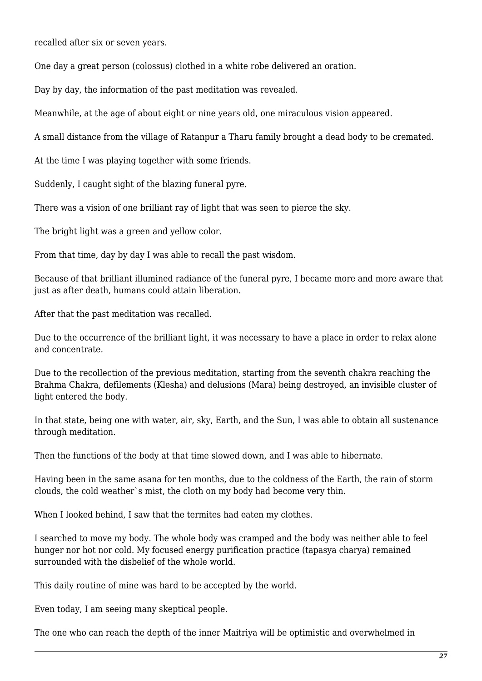recalled after six or seven years.

One day a great person (colossus) clothed in a white robe delivered an oration.

Day by day, the information of the past meditation was revealed.

Meanwhile, at the age of about eight or nine years old, one miraculous vision appeared.

A small distance from the village of Ratanpur a Tharu family brought a dead body to be cremated.

At the time I was playing together with some friends.

Suddenly, I caught sight of the blazing funeral pyre.

There was a vision of one brilliant ray of light that was seen to pierce the sky.

The bright light was a green and yellow color.

From that time, day by day I was able to recall the past wisdom.

Because of that brilliant illumined radiance of the funeral pyre, I became more and more aware that just as after death, humans could attain liberation.

After that the past meditation was recalled.

Due to the occurrence of the brilliant light, it was necessary to have a place in order to relax alone and concentrate.

Due to the recollection of the previous meditation, starting from the seventh chakra reaching the Brahma Chakra, defilements (Klesha) and delusions (Mara) being destroyed, an invisible cluster of light entered the body.

In that state, being one with water, air, sky, Earth, and the Sun, I was able to obtain all sustenance through meditation.

Then the functions of the body at that time slowed down, and I was able to hibernate.

Having been in the same asana for ten months, due to the coldness of the Earth, the rain of storm clouds, the cold weather`s mist, the cloth on my body had become very thin.

When I looked behind, I saw that the termites had eaten my clothes.

I searched to move my body. The whole body was cramped and the body was neither able to feel hunger nor hot nor cold. My focused energy purification practice (tapasya charya) remained surrounded with the disbelief of the whole world.

This daily routine of mine was hard to be accepted by the world.

Even today, I am seeing many skeptical people.

The one who can reach the depth of the inner Maitriya will be optimistic and overwhelmed in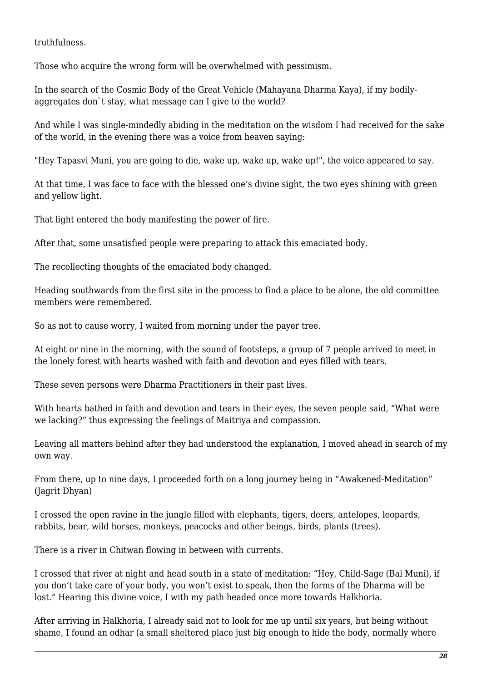truthfulness.

Those who acquire the wrong form will be overwhelmed with pessimism.

In the search of the Cosmic Body of the Great Vehicle (Mahayana Dharma Kaya), if my bodilyaggregates don`t stay, what message can I give to the world?

And while I was single-mindedly abiding in the meditation on the wisdom I had received for the sake of the world, in the evening there was a voice from heaven saying:

"Hey Tapasvi Muni, you are going to die, wake up, wake up, wake up!", the voice appeared to say.

At that time, I was face to face with the blessed one's divine sight, the two eyes shining with green and yellow light.

That light entered the body manifesting the power of fire.

After that, some unsatisfied people were preparing to attack this emaciated body.

The recollecting thoughts of the emaciated body changed.

Heading southwards from the first site in the process to find a place to be alone, the old committee members were remembered.

So as not to cause worry, I waited from morning under the payer tree.

At eight or nine in the morning, with the sound of footsteps, a group of 7 people arrived to meet in the lonely forest with hearts washed with faith and devotion and eyes filled with tears.

These seven persons were Dharma Practitioners in their past lives.

With hearts bathed in faith and devotion and tears in their eyes, the seven people said, "What were we lacking?" thus expressing the feelings of Maitriya and compassion.

Leaving all matters behind after they had understood the explanation, I moved ahead in search of my own way.

From there, up to nine days, I proceeded forth on a long journey being in "Awakened-Meditation" (Jagrit Dhyan)

I crossed the open ravine in the jungle filled with elephants, tigers, deers, antelopes, leopards, rabbits, bear, wild horses, monkeys, peacocks and other beings, birds, plants (trees).

There is a river in Chitwan flowing in between with currents.

I crossed that river at night and head south in a state of meditation: "Hey, Child-Sage (Bal Muni), if you don't take care of your body, you won't exist to speak, then the forms of the Dharma will be lost." Hearing this divine voice, I with my path headed once more towards Halkhoria.

After arriving in Halkhoria, I already said not to look for me up until six years, but being without shame, I found an odhar (a small sheltered place just big enough to hide the body, normally where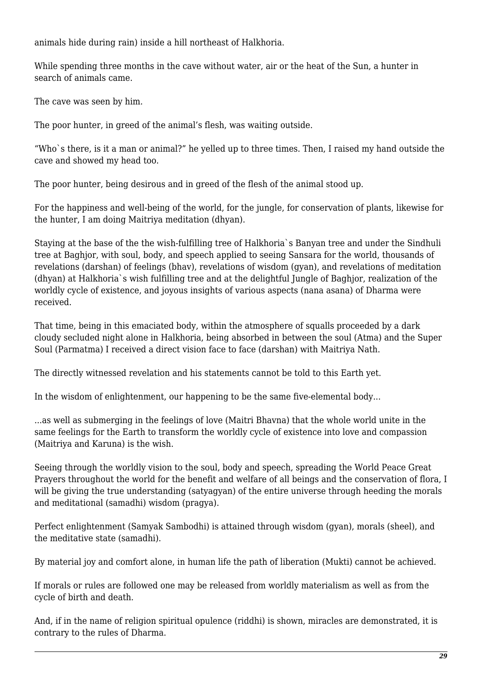animals hide during rain) inside a hill northeast of Halkhoria.

While spending three months in the cave without water, air or the heat of the Sun, a hunter in search of animals came.

The cave was seen by him.

The poor hunter, in greed of the animal's flesh, was waiting outside.

"Who`s there, is it a man or animal?" he yelled up to three times. Then, I raised my hand outside the cave and showed my head too.

The poor hunter, being desirous and in greed of the flesh of the animal stood up.

For the happiness and well-being of the world, for the jungle, for conservation of plants, likewise for the hunter, I am doing Maitriya meditation (dhyan).

Staying at the base of the the wish-fulfilling tree of Halkhoria`s Banyan tree and under the Sindhuli tree at Baghjor, with soul, body, and speech applied to seeing Sansara for the world, thousands of revelations (darshan) of feelings (bhav), revelations of wisdom (gyan), and revelations of meditation (dhyan) at Halkhoria`s wish fulfilling tree and at the delightful Jungle of Baghjor, realization of the worldly cycle of existence, and joyous insights of various aspects (nana asana) of Dharma were received.

That time, being in this emaciated body, within the atmosphere of squalls proceeded by a dark cloudy secluded night alone in Halkhoria, being absorbed in between the soul (Atma) and the Super Soul (Parmatma) I received a direct vision face to face (darshan) with Maitriya Nath.

The directly witnessed revelation and his statements cannot be told to this Earth yet.

In the wisdom of enlightenment, our happening to be the same five-elemental body...

...as well as submerging in the feelings of love (Maitri Bhavna) that the whole world unite in the same feelings for the Earth to transform the worldly cycle of existence into love and compassion (Maitriya and Karuna) is the wish.

Seeing through the worldly vision to the soul, body and speech, spreading the World Peace Great Prayers throughout the world for the benefit and welfare of all beings and the conservation of flora, I will be giving the true understanding (satyagyan) of the entire universe through heeding the morals and meditational (samadhi) wisdom (pragya).

Perfect enlightenment (Samyak Sambodhi) is attained through wisdom (gyan), morals (sheel), and the meditative state (samadhi).

By material joy and comfort alone, in human life the path of liberation (Mukti) cannot be achieved.

If morals or rules are followed one may be released from worldly materialism as well as from the cycle of birth and death.

And, if in the name of religion spiritual opulence (riddhi) is shown, miracles are demonstrated, it is contrary to the rules of Dharma.